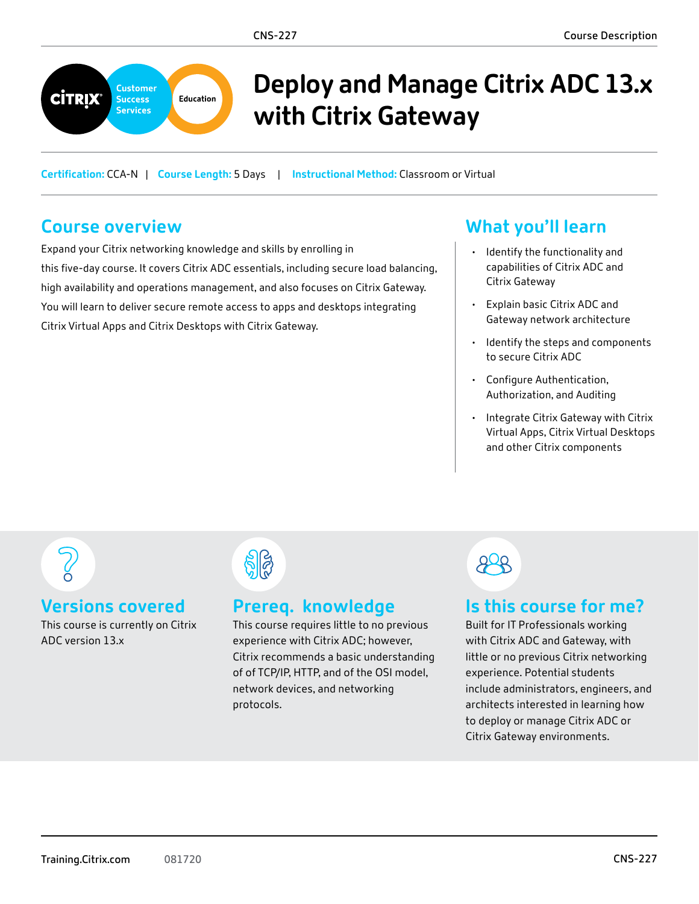

# **Deploy and Manage Citrix ADC 13.x with Citrix Gateway**

**Certification:** CCA-N | **Course Length:** 5 Days | **Instructional Method:** Classroom or Virtual

## **Course overview**

Expand your Citrix networking knowledge and skills by enrolling in this five-day course. It covers Citrix ADC essentials, including secure load balancing, high availability and operations management, and also focuses on Citrix Gateway. You will learn to deliver secure remote access to apps and desktops integrating Citrix Virtual Apps and Citrix Desktops with Citrix Gateway.

## **What you'll learn**

- Identify the functionality and capabilities of Citrix ADC and Citrix Gateway
- Explain basic Citrix ADC and Gateway network architecture
- Identify the steps and components to secure Citrix ADC
- Configure Authentication, Authorization, and Auditing
- Integrate Citrix Gateway with Citrix Virtual Apps, Citrix Virtual Desktops and other Citrix components

#### **Versions covered**

This course is currently on Citrix ADC version 13.x



### **Prereq. knowledge**

This course requires little to no previous experience with Citrix ADC; however, Citrix recommends a basic understanding of of TCP/IP, HTTP, and of the OSI model, network devices, and networking protocols.

# $908$

### **Is this course for me?**

Built for IT Professionals working with Citrix ADC and Gateway, with little or no previous Citrix networking experience. Potential students include administrators, engineers, and architects interested in learning how to deploy or manage Citrix ADC or Citrix Gateway environments.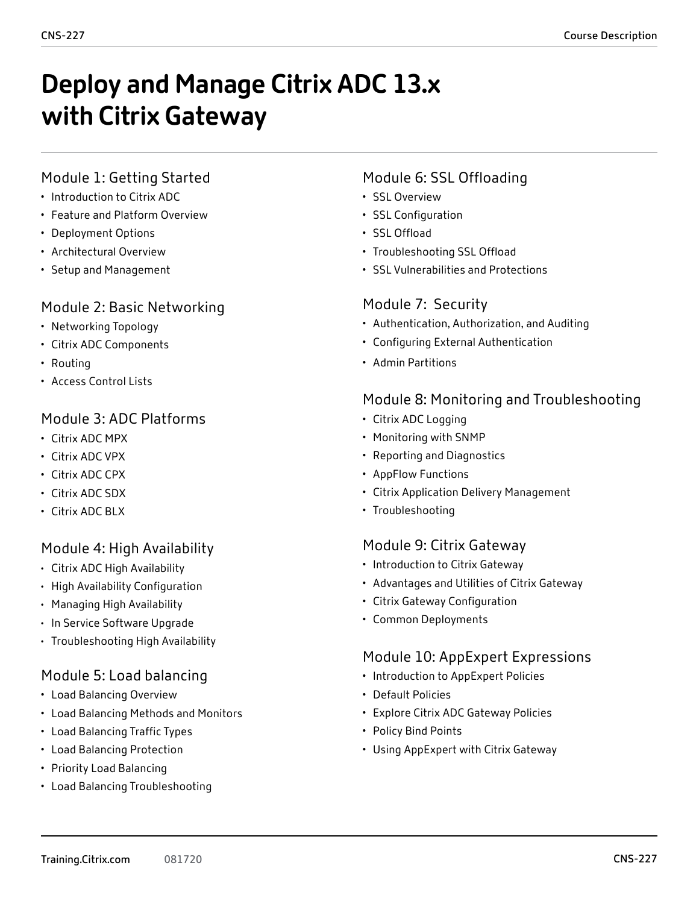# **Deploy and Manage Citrix ADC 13.x with Citrix Gateway**

#### Module 1: Getting Started

- Introduction to Citrix ADC
- Feature and Platform Overview
- Deployment Options
- Architectural Overview
- Setup and Management

#### Module 2: Basic Networking

- Networking Topology
- Citrix ADC Components
- Routing
- Access Control Lists

#### Module 3: ADC Platforms

- Citrix ADC MPX
- Citrix ADC VPX
- Citrix ADC CPX
- Citrix ADC SDX
- Citrix ADC BLX

#### Module 4: High Availability

- Citrix ADC High Availability
- High Availability Configuration
- Managing High Availability
- In Service Software Upgrade
- Troubleshooting High Availability

#### Module 5: Load balancing

- Load Balancing Overview
- Load Balancing Methods and Monitors
- Load Balancing Traffic Types
- Load Balancing Protection
- Priority Load Balancing
- Load Balancing Troubleshooting

#### Module 6: SSL Offloading

- SSL Overview
- SSL Configuration
- SSL Offload
- Troubleshooting SSL Offload
- SSL Vulnerabilities and Protections

#### Module 7: Security

- Authentication, Authorization, and Auditing
- Configuring External Authentication
- Admin Partitions

#### Module 8: Monitoring and Troubleshooting

- Citrix ADC Logging
- Monitoring with SNMP
- Reporting and Diagnostics
- AppFlow Functions
- Citrix Application Delivery Management
- Troubleshooting

#### Module 9: Citrix Gateway

- Introduction to Citrix Gateway
- Advantages and Utilities of Citrix Gateway
- Citrix Gateway Configuration
- Common Deployments

#### Module 10: AppExpert Expressions

- Introduction to AppExpert Policies
- Default Policies
- Explore Citrix ADC Gateway Policies
- Policy Bind Points
- Using AppExpert with Citrix Gateway